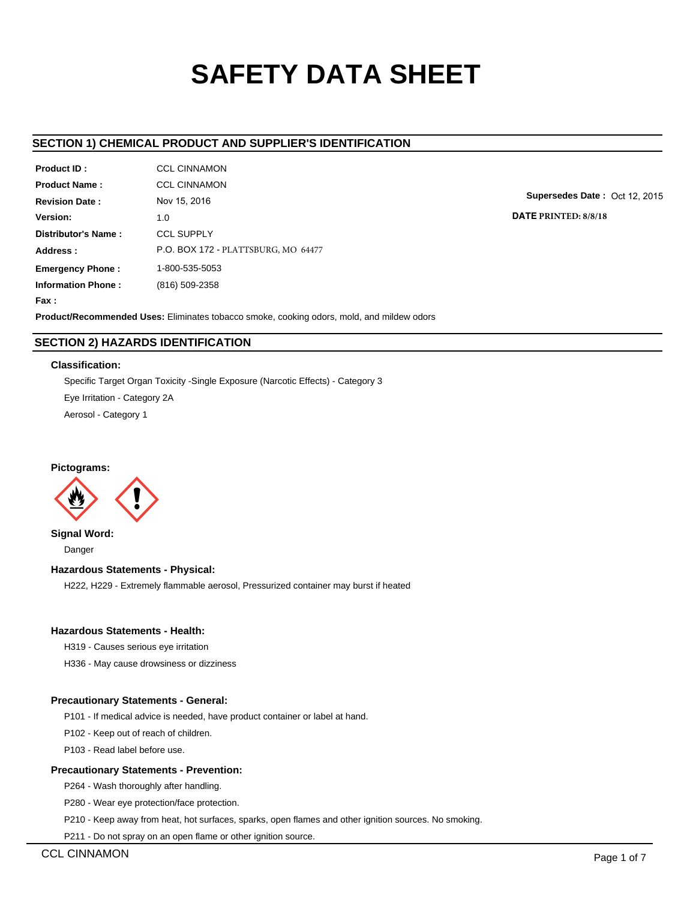# **SAFETY DATA SHEET**

# **SECTION 1) CHEMICAL PRODUCT AND SUPPLIER'S IDENTIFICATION**

| Product ID:               | <b>CCL CINNAMON</b>                 |
|---------------------------|-------------------------------------|
| <b>Product Name:</b>      | <b>CCL CINNAMON</b>                 |
| <b>Revision Date:</b>     | Nov 15, 2016                        |
| Version:                  | 1.0                                 |
| Distributor's Name:       | <b>CCL SUPPLY</b>                   |
| Address:                  | P.O. BOX 172 - PLATTSBURG, MO 64477 |
| <b>Emergency Phone:</b>   | 1-800-535-5053                      |
| <b>Information Phone:</b> | (816) 509-2358                      |
| <b>Fax :</b>              |                                     |

**Supersedes Date :** Oct 12, 2015

**DATE PRINTED: 8/8/18**

**Product/Recommended Uses:** Eliminates tobacco smoke, cooking odors, mold, and mildew odors

# **SECTION 2) HAZARDS IDENTIFICATION**

## **Classification:**

Specific Target Organ Toxicity -Single Exposure (Narcotic Effects) - Category 3 Eye Irritation - Category 2A Aerosol - Category 1

## **Pictograms:**



**Signal Word:** Danger

# **Hazardous Statements - Physical:**

H222, H229 - Extremely flammable aerosol, Pressurized container may burst if heated

# **Hazardous Statements - Health:**

H319 - Causes serious eye irritation

H336 - May cause drowsiness or dizziness

# **Precautionary Statements - General:**

P101 - If medical advice is needed, have product container or label at hand.

P102 - Keep out of reach of children.

P103 - Read label before use.

## **Precautionary Statements - Prevention:**

P264 - Wash thoroughly after handling.

P280 - Wear eye protection/face protection.

P210 - Keep away from heat, hot surfaces, sparks, open flames and other ignition sources. No smoking.

P211 - Do not spray on an open flame or other ignition source.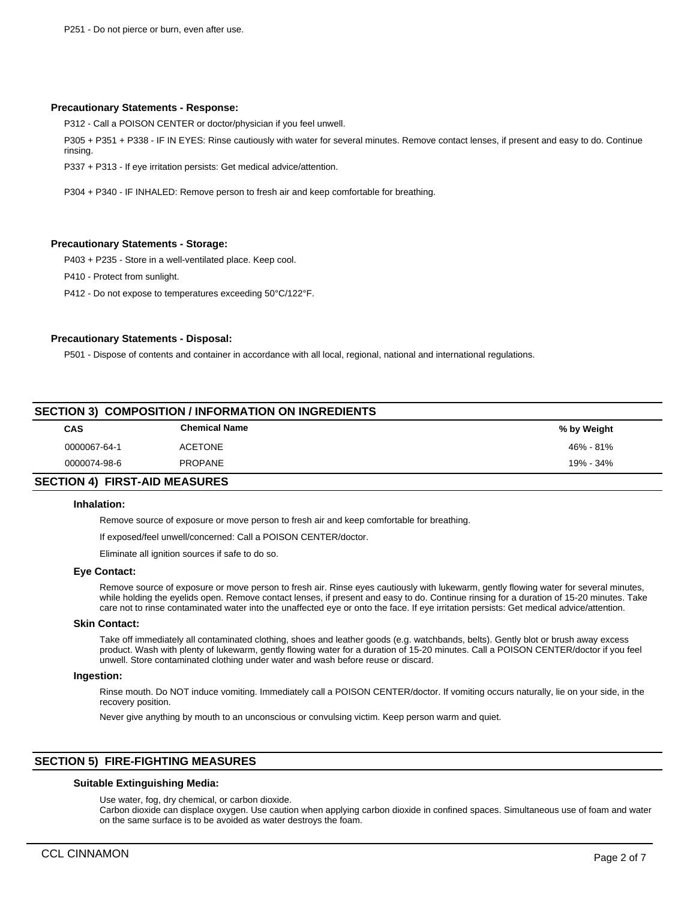## **Precautionary Statements - Response:**

P312 - Call a POISON CENTER or doctor/physician if you feel unwell.

P305 + P351 + P338 - IF IN EYES: Rinse cautiously with water for several minutes. Remove contact lenses, if present and easy to do. Continue rinsing.

P337 + P313 - If eye irritation persists: Get medical advice/attention.

P304 + P340 - IF INHALED: Remove person to fresh air and keep comfortable for breathing.

#### **Precautionary Statements - Storage:**

P403 + P235 - Store in a well-ventilated place. Keep cool.

P410 - Protect from sunlight.

P412 - Do not expose to temperatures exceeding 50°C/122°F.

#### **Precautionary Statements - Disposal:**

P501 - Dispose of contents and container in accordance with all local, regional, national and international regulations.

| <b>SECTION 3) COMPOSITION / INFORMATION ON INGREDIENTS</b> |               |             |  |  |  |
|------------------------------------------------------------|---------------|-------------|--|--|--|
| <b>CAS</b>                                                 | Chemical Name | % by Weight |  |  |  |
| 0000067-64-1                                               | ACETONE       | 46% - 81%   |  |  |  |
| 0000074-98-6                                               | PROPANE       | 19% - 34%   |  |  |  |
|                                                            |               |             |  |  |  |

## **SECTION 4) FIRST-AID MEASURES**

## **Inhalation:**

Remove source of exposure or move person to fresh air and keep comfortable for breathing.

If exposed/feel unwell/concerned: Call a POISON CENTER/doctor.

Eliminate all ignition sources if safe to do so.

#### **Eye Contact:**

Remove source of exposure or move person to fresh air. Rinse eyes cautiously with lukewarm, gently flowing water for several minutes, while holding the eyelids open. Remove contact lenses, if present and easy to do. Continue rinsing for a duration of 15-20 minutes. Take care not to rinse contaminated water into the unaffected eye or onto the face. If eye irritation persists: Get medical advice/attention.

## **Skin Contact:**

Take off immediately all contaminated clothing, shoes and leather goods (e.g. watchbands, belts). Gently blot or brush away excess product. Wash with plenty of lukewarm, gently flowing water for a duration of 15-20 minutes. Call a POISON CENTER/doctor if you feel unwell. Store contaminated clothing under water and wash before reuse or discard.

#### **Ingestion:**

Rinse mouth. Do NOT induce vomiting. Immediately call a POISON CENTER/doctor. If vomiting occurs naturally, lie on your side, in the recovery position.

Never give anything by mouth to an unconscious or convulsing victim. Keep person warm and quiet.

# **SECTION 5) FIRE-FIGHTING MEASURES**

#### **Suitable Extinguishing Media:**

Use water, fog, dry chemical, or carbon dioxide.

Carbon dioxide can displace oxygen. Use caution when applying carbon dioxide in confined spaces. Simultaneous use of foam and water on the same surface is to be avoided as water destroys the foam.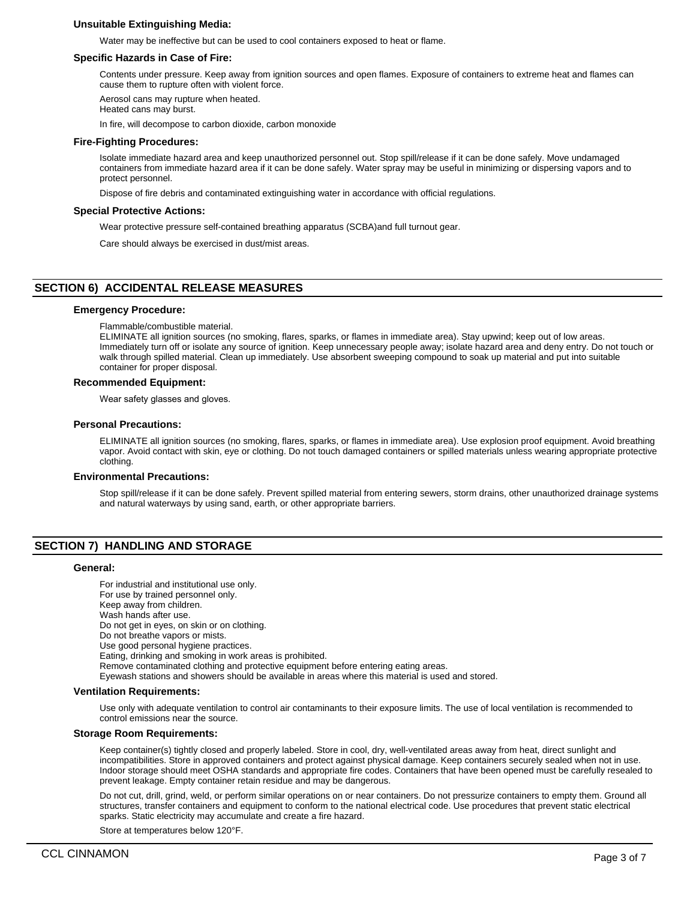## **Unsuitable Extinguishing Media:**

Water may be ineffective but can be used to cool containers exposed to heat or flame.

#### **Specific Hazards in Case of Fire:**

Contents under pressure. Keep away from ignition sources and open flames. Exposure of containers to extreme heat and flames can cause them to rupture often with violent force.

Aerosol cans may rupture when heated. Heated cans may burst.

In fire, will decompose to carbon dioxide, carbon monoxide

#### **Fire-Fighting Procedures:**

Isolate immediate hazard area and keep unauthorized personnel out. Stop spill/release if it can be done safely. Move undamaged containers from immediate hazard area if it can be done safely. Water spray may be useful in minimizing or dispersing vapors and to protect personnel.

Dispose of fire debris and contaminated extinguishing water in accordance with official regulations.

#### **Special Protective Actions:**

Wear protective pressure self-contained breathing apparatus (SCBA)and full turnout gear.

Care should always be exercised in dust/mist areas.

# **SECTION 6) ACCIDENTAL RELEASE MEASURES**

#### **Emergency Procedure:**

Flammable/combustible material.

ELIMINATE all ignition sources (no smoking, flares, sparks, or flames in immediate area). Stay upwind; keep out of low areas. Immediately turn off or isolate any source of ignition. Keep unnecessary people away; isolate hazard area and deny entry. Do not touch or walk through spilled material. Clean up immediately. Use absorbent sweeping compound to soak up material and put into suitable container for proper disposal.

#### **Recommended Equipment:**

Wear safety glasses and gloves.

#### **Personal Precautions:**

ELIMINATE all ignition sources (no smoking, flares, sparks, or flames in immediate area). Use explosion proof equipment. Avoid breathing vapor. Avoid contact with skin, eye or clothing. Do not touch damaged containers or spilled materials unless wearing appropriate protective clothing.

#### **Environmental Precautions:**

Stop spill/release if it can be done safely. Prevent spilled material from entering sewers, storm drains, other unauthorized drainage systems and natural waterways by using sand, earth, or other appropriate barriers.

## **SECTION 7) HANDLING AND STORAGE**

#### **General:**

For industrial and institutional use only. For use by trained personnel only. Keep away from children. Wash hands after use. Do not get in eyes, on skin or on clothing. Do not breathe vapors or mists. Use good personal hygiene practices. Eating, drinking and smoking in work areas is prohibited. Remove contaminated clothing and protective equipment before entering eating areas. Eyewash stations and showers should be available in areas where this material is used and stored.

#### **Ventilation Requirements:**

Use only with adequate ventilation to control air contaminants to their exposure limits. The use of local ventilation is recommended to control emissions near the source.

#### **Storage Room Requirements:**

Keep container(s) tightly closed and properly labeled. Store in cool, dry, well-ventilated areas away from heat, direct sunlight and incompatibilities. Store in approved containers and protect against physical damage. Keep containers securely sealed when not in use. Indoor storage should meet OSHA standards and appropriate fire codes. Containers that have been opened must be carefully resealed to prevent leakage. Empty container retain residue and may be dangerous.

Do not cut, drill, grind, weld, or perform similar operations on or near containers. Do not pressurize containers to empty them. Ground all structures, transfer containers and equipment to conform to the national electrical code. Use procedures that prevent static electrical sparks. Static electricity may accumulate and create a fire hazard.

Store at temperatures below 120°F.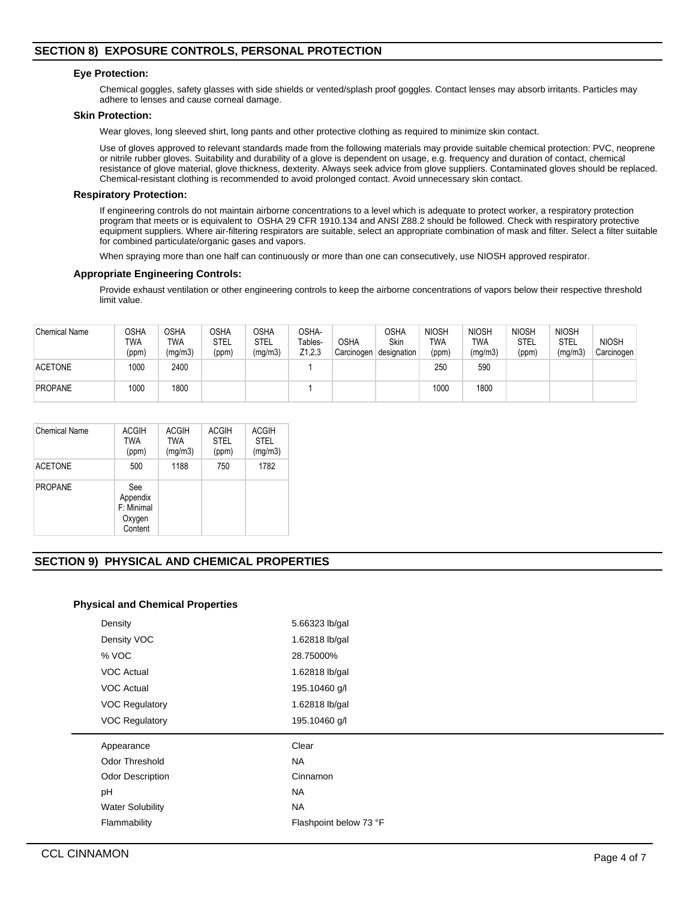# **SECTION 8) EXPOSURE CONTROLS, PERSONAL PROTECTION**

#### **Eye Protection:**

Chemical goggles, safety glasses with side shields or vented/splash proof goggles. Contact lenses may absorb irritants. Particles may adhere to lenses and cause corneal damage.

#### **Skin Protection:**

Wear gloves, long sleeved shirt, long pants and other protective clothing as required to minimize skin contact.

Use of gloves approved to relevant standards made from the following materials may provide suitable chemical protection: PVC, neoprene or nitrile rubber gloves. Suitability and durability of a glove is dependent on usage, e.g. frequency and duration of contact, chemical resistance of glove material, glove thickness, dexterity. Always seek advice from glove suppliers. Contaminated gloves should be replaced. Chemical-resistant clothing is recommended to avoid prolonged contact. Avoid unnecessary skin contact.

#### **Respiratory Protection:**

If engineering controls do not maintain airborne concentrations to a level which is adequate to protect worker, a respiratory protection program that meets or is equivalent to OSHA 29 CFR 1910.134 and ANSI Z88.2 should be followed. Check with respiratory protective equipment suppliers. Where air-filtering respirators are suitable, select an appropriate combination of mask and filter. Select a filter suitable for combined particulate/organic gases and vapors.

When spraying more than one half can continuously or more than one can consecutively, use NIOSH approved respirator.

#### **Appropriate Engineering Controls:**

Provide exhaust ventilation or other engineering controls to keep the airborne concentrations of vapors below their respective threshold limit value.

| <b>Chemical Name</b> | OSHA<br>TWA<br>(ppm) | <b>OSHA</b><br>TWA<br>(mg/m3) | <b>OSHA</b><br>STEL<br>(ppm) | OSHA<br>STEL<br>(mg/m3) | OSHA-<br>Tables-<br>Z1,2,3 | <b>OSHA</b><br>Carcinogen | <b>OSHA</b><br>Skin<br>designation | <b>NIOSH</b><br>TWA<br>(ppm) | <b>NIOSH</b><br>TWA<br>(mg/m3) | <b>NIOSH</b><br>STEL<br>(ppm) | <b>NIOSH</b><br>STEL<br>(mg/m3) | <b>NIOSH</b><br>Carcinogen |
|----------------------|----------------------|-------------------------------|------------------------------|-------------------------|----------------------------|---------------------------|------------------------------------|------------------------------|--------------------------------|-------------------------------|---------------------------------|----------------------------|
| <b>ACETONE</b>       | 1000                 | 2400                          |                              |                         |                            |                           |                                    | 250                          | 590                            |                               |                                 |                            |
| <b>PROPANE</b>       | 1000                 | 1800                          |                              |                         |                            |                           |                                    | 1000                         | 1800                           |                               |                                 |                            |

| Chemical Name  | <b>ACGIH</b><br>TWA<br>(ppm)                       | <b>ACGIH</b><br><b>TWA</b><br>(mg/m3) | <b>ACGIH</b><br><b>STEL</b><br>(ppm) | <b>ACGIH</b><br><b>STEL</b><br>(mg/m3) |
|----------------|----------------------------------------------------|---------------------------------------|--------------------------------------|----------------------------------------|
| <b>ACETONE</b> | 500                                                | 1188                                  | 750                                  | 1782                                   |
| <b>PROPANE</b> | See<br>Appendix<br>F: Minimal<br>Oxygen<br>Content |                                       |                                      |                                        |

# **SECTION 9) PHYSICAL AND CHEMICAL PROPERTIES**

## **Physical and Chemical Properties**

| Density                 | 5.66323 lb/gal         |
|-------------------------|------------------------|
| Density VOC             | 1.62818 lb/gal         |
| % VOC                   | 28.75000%              |
| <b>VOC Actual</b>       | 1.62818 lb/gal         |
| <b>VOC Actual</b>       | 195.10460 g/l          |
| <b>VOC Regulatory</b>   | 1.62818 lb/gal         |
| <b>VOC Regulatory</b>   | 195.10460 g/l          |
|                         |                        |
| Appearance              | Clear                  |
| Odor Threshold          | <b>NA</b>              |
| <b>Odor Description</b> | Cinnamon               |
| pH                      | <b>NA</b>              |
| <b>Water Solubility</b> | <b>NA</b>              |
| Flammability            | Flashpoint below 73 °F |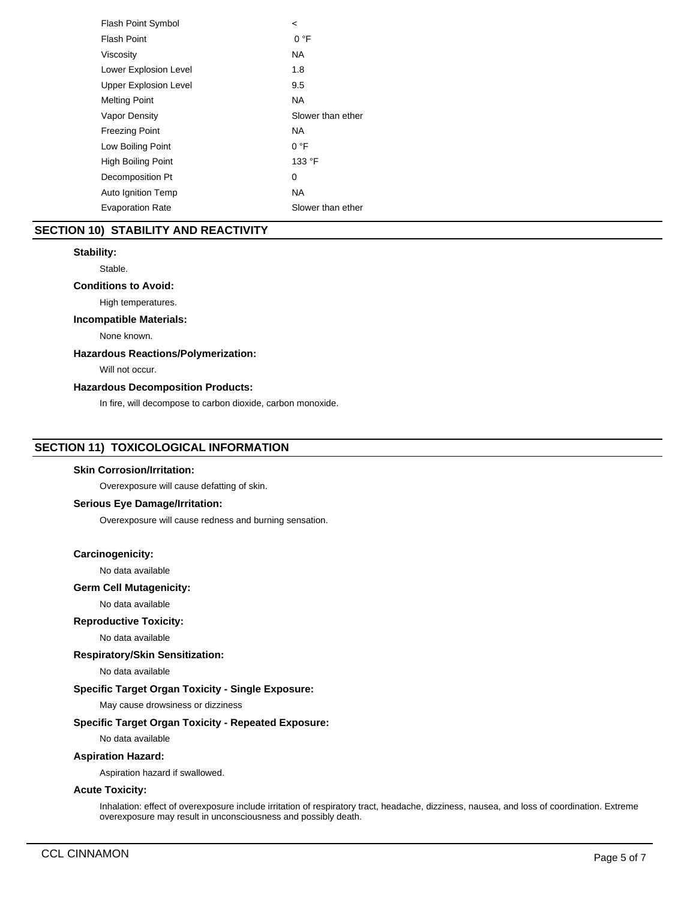| <b>Flash Point Symbol</b>    | $\,<\,$           |
|------------------------------|-------------------|
| <b>Flash Point</b>           | 0 °F              |
| Viscosity                    | NA.               |
| Lower Explosion Level        | 1.8               |
| <b>Upper Explosion Level</b> | 9.5               |
| <b>Melting Point</b>         | NA.               |
| Vapor Density                | Slower than ether |
| <b>Freezing Point</b>        | NA                |
| Low Boiling Point            | 0 °F              |
| High Boiling Point           | 133 °F            |
| Decomposition Pt             | 0                 |
| Auto Ignition Temp           | NA.               |
| <b>Evaporation Rate</b>      | Slower than ether |
|                              |                   |

# **SECTION 10) STABILITY AND REACTIVITY**

## **Stability:**

Stable.

# **Conditions to Avoid:**

High temperatures.

# **Incompatible Materials:**

None known.

## **Hazardous Reactions/Polymerization:**

Will not occur.

## **Hazardous Decomposition Products:**

In fire, will decompose to carbon dioxide, carbon monoxide.

# **SECTION 11) TOXICOLOGICAL INFORMATION**

#### **Skin Corrosion/Irritation:**

Overexposure will cause defatting of skin.

#### **Serious Eye Damage/Irritation:**

Overexposure will cause redness and burning sensation.

#### **Carcinogenicity:**

No data available

# **Germ Cell Mutagenicity:**

No data available

## **Reproductive Toxicity:**

No data available

**Respiratory/Skin Sensitization:**

No data available

# **Specific Target Organ Toxicity - Single Exposure:**

May cause drowsiness or dizziness

## **Specific Target Organ Toxicity - Repeated Exposure:**

No data available

# **Aspiration Hazard:**

Aspiration hazard if swallowed.

## **Acute Toxicity:**

Inhalation: effect of overexposure include irritation of respiratory tract, headache, dizziness, nausea, and loss of coordination. Extreme overexposure may result in unconsciousness and possibly death.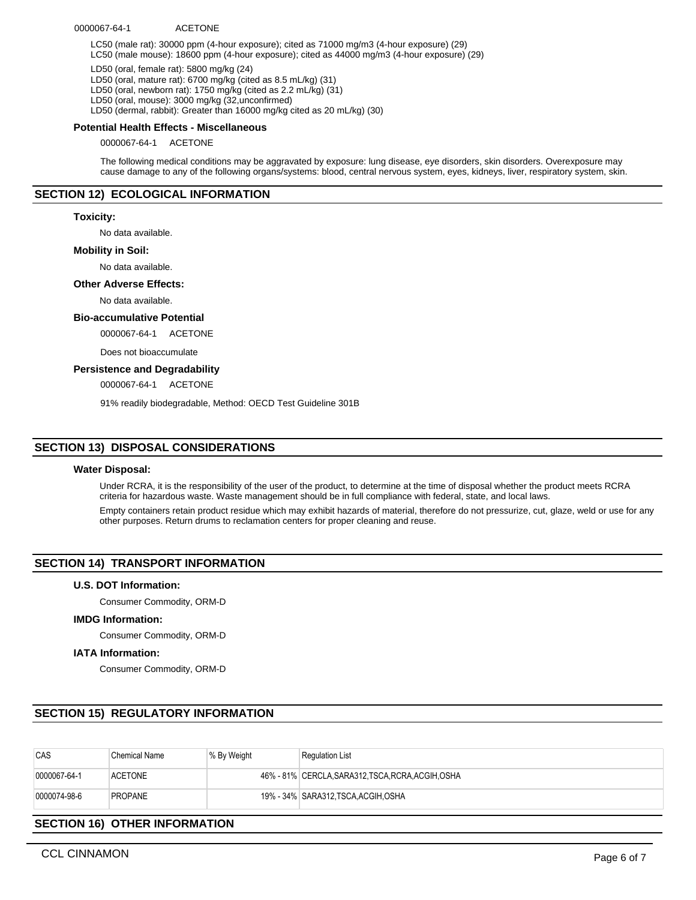#### 0000067-64-1 ACETONE

LC50 (male rat): 30000 ppm (4-hour exposure); cited as 71000 mg/m3 (4-hour exposure) (29) LC50 (male mouse): 18600 ppm (4-hour exposure); cited as 44000 mg/m3 (4-hour exposure) (29)

LD50 (oral, female rat): 5800 mg/kg (24)

LD50 (oral, mature rat): 6700 mg/kg (cited as 8.5 mL/kg) (31)

LD50 (oral, newborn rat): 1750 mg/kg (cited as 2.2 mL/kg) (31)

LD50 (oral, mouse): 3000 mg/kg (32,unconfirmed)

LD50 (dermal, rabbit): Greater than 16000 mg/kg cited as 20 mL/kg) (30)

#### **Potential Health Effects - Miscellaneous**

0000067-64-1 ACETONE

The following medical conditions may be aggravated by exposure: lung disease, eye disorders, skin disorders. Overexposure may cause damage to any of the following organs/systems: blood, central nervous system, eyes, kidneys, liver, respiratory system, skin.

### **SECTION 12) ECOLOGICAL INFORMATION**

#### **Toxicity:**

No data available.

#### **Mobility in Soil:**

No data available.

#### **Other Adverse Effects:**

No data available.

#### **Bio-accumulative Potential**

0000067-64-1 ACETONE

Does not bioaccumulate

#### **Persistence and Degradability**

0000067-64-1 ACETONE

91% readily biodegradable, Method: OECD Test Guideline 301B

### **SECTION 13) DISPOSAL CONSIDERATIONS**

#### **Water Disposal:**

Under RCRA, it is the responsibility of the user of the product, to determine at the time of disposal whether the product meets RCRA criteria for hazardous waste. Waste management should be in full compliance with federal, state, and local laws.

Empty containers retain product residue which may exhibit hazards of material, therefore do not pressurize, cut, glaze, weld or use for any other purposes. Return drums to reclamation centers for proper cleaning and reuse.

#### **SECTION 14) TRANSPORT INFORMATION**

#### **U.S. DOT Information:**

Consumer Commodity, ORM-D

#### **IMDG Information:**

Consumer Commodity, ORM-D

#### **IATA Information:**

Consumer Commodity, ORM-D

# **SECTION 15) REGULATORY INFORMATION**

| CAS          | Chemical Name  | % By Weight | <b>Requlation List</b>                             |
|--------------|----------------|-------------|----------------------------------------------------|
| 0000067-64-1 | <b>ACETONE</b> |             | 46% - 81% CERCLA, SARA312, TSCA, RCRA, ACGIH, OSHA |
| 0000074-98-6 | <b>PROPANE</b> |             | 19% - 34% SARA312.TSCA.ACGIH.OSHA                  |

# **SECTION 16) OTHER INFORMATION**